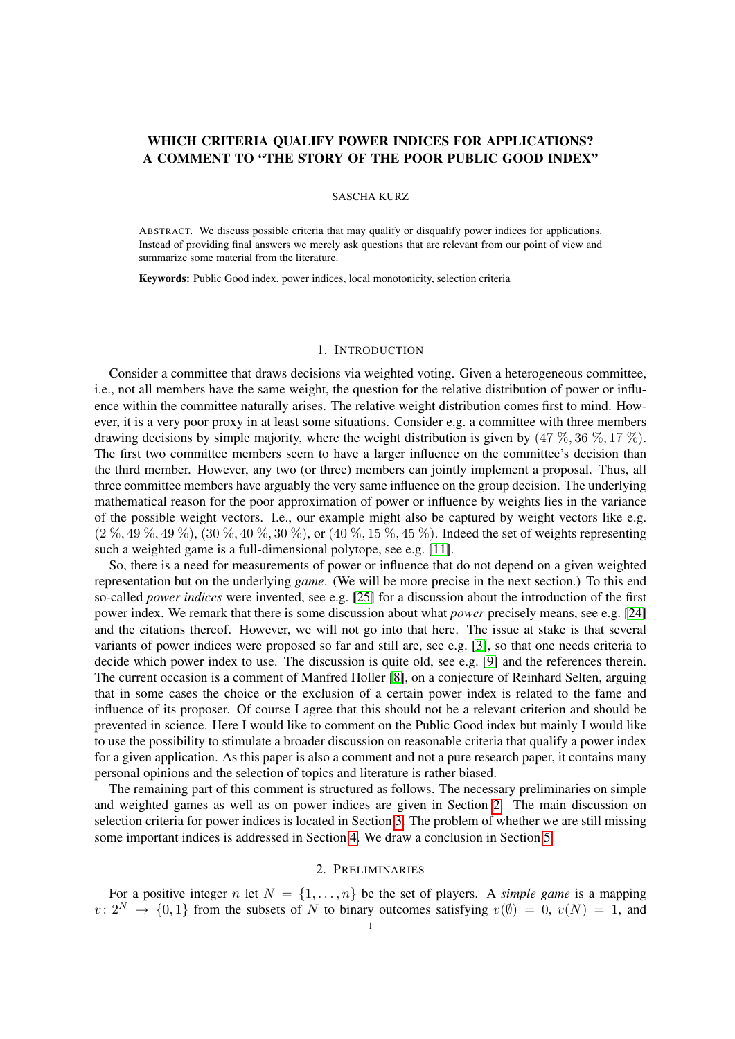# WHICH CRITERIA QUALIFY POWER INDICES FOR APPLICATIONS? A COMMENT TO "THE STORY OF THE POOR PUBLIC GOOD INDEX"

## SASCHA KURZ

ABSTRACT. We discuss possible criteria that may qualify or disqualify power indices for applications. Instead of providing final answers we merely ask questions that are relevant from our point of view and summarize some material from the literature.

Keywords: Public Good index, power indices, local monotonicity, selection criteria

# 1. INTRODUCTION

Consider a committee that draws decisions via weighted voting. Given a heterogeneous committee, i.e., not all members have the same weight, the question for the relative distribution of power or influence within the committee naturally arises. The relative weight distribution comes first to mind. However, it is a very poor proxy in at least some situations. Consider e.g. a committee with three members drawing decisions by simple majority, where the weight distribution is given by  $(47\%, 36\%, 17\%)$ . The first two committee members seem to have a larger influence on the committee's decision than the third member. However, any two (or three) members can jointly implement a proposal. Thus, all three committee members have arguably the very same influence on the group decision. The underlying mathematical reason for the poor approximation of power or influence by weights lies in the variance of the possible weight vectors. I.e., our example might also be captured by weight vectors like e.g.  $(2 \%, 49 \%, 49 \%, 130 \%, 40 \%, 30 \%, \text{or } (40 \%, 15 \%, 45 \%)$ . Indeed the set of weights representing such a weighted game is a full-dimensional polytope, see e.g. [\[11\]](#page-5-0).

So, there is a need for measurements of power or influence that do not depend on a given weighted representation but on the underlying *game*. (We will be more precise in the next section.) To this end so-called *power indices* were invented, see e.g. [\[25\]](#page-5-1) for a discussion about the introduction of the first power index. We remark that there is some discussion about what *power* precisely means, see e.g. [\[24\]](#page-5-2) and the citations thereof. However, we will not go into that here. The issue at stake is that several variants of power indices were proposed so far and still are, see e.g. [\[3\]](#page-5-3), so that one needs criteria to decide which power index to use. The discussion is quite old, see e.g. [\[9\]](#page-5-4) and the references therein. The current occasion is a comment of Manfred Holler [\[8\]](#page-5-5), on a conjecture of Reinhard Selten, arguing that in some cases the choice or the exclusion of a certain power index is related to the fame and influence of its proposer. Of course I agree that this should not be a relevant criterion and should be prevented in science. Here I would like to comment on the Public Good index but mainly I would like to use the possibility to stimulate a broader discussion on reasonable criteria that qualify a power index for a given application. As this paper is also a comment and not a pure research paper, it contains many personal opinions and the selection of topics and literature is rather biased.

The remaining part of this comment is structured as follows. The necessary preliminaries on simple and weighted games as well as on power indices are given in Section [2.](#page-0-0) The main discussion on selection criteria for power indices is located in Section [3.](#page-2-0) The problem of whether we are still missing some important indices is addressed in Section [4.](#page-4-0) We draw a conclusion in Section [5.](#page-5-6)

## 2. PRELIMINARIES

<span id="page-0-0"></span>For a positive integer n let  $N = \{1, \ldots, n\}$  be the set of players. A *simple game* is a mapping  $v: 2^N \to \{0, 1\}$  from the subsets of N to binary outcomes satisfying  $v(\emptyset) = 0$ ,  $v(N) = 1$ , and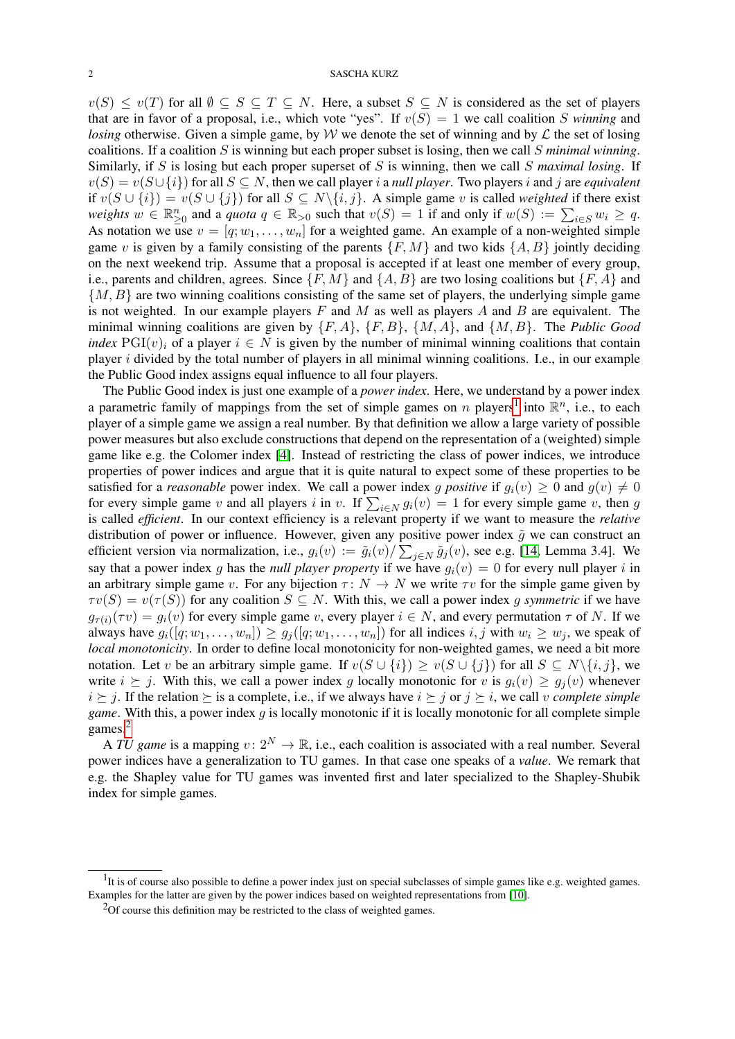## 2 SASCHA KURZ

 $v(S) \le v(T)$  for all  $\emptyset \subseteq S \subseteq T \subseteq N$ . Here, a subset  $S \subseteq N$  is considered as the set of players that are in favor of a proposal, i.e., which vote "yes". If  $v(S) = 1$  we call coalition S *winning* and *losing* otherwise. Given a simple game, by W we denote the set of winning and by  $\mathcal L$  the set of losing coalitions. If a coalition S is winning but each proper subset is losing, then we call S *minimal winning*. Similarly, if S is losing but each proper superset of S is winning, then we call S *maximal losing*. If  $v(S) = v(S \cup \{i\})$  for all  $S \subseteq N$ , then we call player i a *null player*. Two players i and j are *equivalent* if  $v(S \cup \{i\}) = v(S \cup \{j\})$  for all  $S \subseteq N \setminus \{i, j\}$ . A simple game v is called *weighted* if there exist *weights*  $w \in \mathbb{R}_{\geq 0}^n$  and a *quota*  $q \in \mathbb{R}_{>0}$  such that  $v(S) = 1$  if and only if  $w(S) := \sum_{i \in S} w_i \geq q$ . As notation we use  $v = [q; w_1, \dots, w_n]$  for a weighted game. An example of a non-weighted simple game v is given by a family consisting of the parents  $\{F, M\}$  and two kids  $\{A, B\}$  jointly deciding on the next weekend trip. Assume that a proposal is accepted if at least one member of every group, i.e., parents and children, agrees. Since  $\{F, M\}$  and  $\{A, B\}$  are two losing coalitions but  $\{F, A\}$  and  $\{M, B\}$  are two winning coalitions consisting of the same set of players, the underlying simple game is not weighted. In our example players  $F$  and  $M$  as well as players  $A$  and  $B$  are equivalent. The minimal winning coalitions are given by {F, A}, {F, B}, {M, A}, and {M, B}. The *Public Good index*  $PGI(v)$  of a player  $i \in N$  is given by the number of minimal winning coalitions that contain player  $i$  divided by the total number of players in all minimal winning coalitions. I.e., in our example the Public Good index assigns equal influence to all four players.

The Public Good index is just one example of a *power index*. Here, we understand by a power index a parametric family of mappings from the set of simple games on n players<sup>[1](#page-1-0)</sup> into  $\mathbb{R}^n$ , i.e., to each player of a simple game we assign a real number. By that definition we allow a large variety of possible power measures but also exclude constructions that depend on the representation of a (weighted) simple game like e.g. the Colomer index [\[4\]](#page-5-7). Instead of restricting the class of power indices, we introduce properties of power indices and argue that it is quite natural to expect some of these properties to be satisfied for a *reasonable* power index. We call a power index g positive if  $g_i(v) \geq 0$  and  $g(v) \neq 0$ for every simple game v and all players i in v. If  $\sum_{i \in N} g_i(v) = 1$  for every simple game v, then g is called *efficient*. In our context efficiency is a relevant property if we want to measure the *relative* distribution of power or influence. However, given any positive power index  $\tilde{q}$  we can construct an efficient version via normalization, i.e.,  $g_i(v) := \tilde{g}_i(v) / \sum_{j \in N} \tilde{g}_j(v)$ , see e.g. [\[14,](#page-5-8) Lemma 3.4]. We say that a power index g has the *null player property* if we have  $g_i(v) = 0$  for every null player i in an arbitrary simple game v. For any bijection  $\tau: N \to N$  we write  $\tau v$  for the simple game given by  $\tau v(S) = v(\tau(S))$  for any coalition  $S \subseteq N$ . With this, we call a power index g symmetric if we have  $g_{\tau(i)}(\tau v) = g_i(v)$  for every simple game v, every player  $i \in N$ , and every permutation  $\tau$  of N. If we always have  $g_i([q; w_1, \ldots, w_n]) \geq g_j([q; w_1, \ldots, w_n])$  for all indices  $i, j$  with  $w_i \geq w_j$ , we speak of *local monotonicity*. In order to define local monotonicity for non-weighted games, we need a bit more notation. Let v be an arbitrary simple game. If  $v(S \cup \{i\}) \ge v(S \cup \{j\})$  for all  $S \subseteq N \setminus \{i, j\}$ , we write  $i \succeq j$ . With this, we call a power index g locally monotonic for v is  $g_i(v) \geq g_i(v)$  whenever  $i \succeq j$ . If the relation  $\succeq$  is a complete, i.e., if we always have  $i \succeq j$  or  $j \succeq i$ , we call v *complete simple game*. With this, a power index g is locally monotonic if it is locally monotonic for all complete simple games.<sup>[2](#page-1-1)</sup>

A TU game is a mapping  $v: 2^N \to \mathbb{R}$ , i.e., each coalition is associated with a real number. Several power indices have a generalization to TU games. In that case one speaks of a *value*. We remark that e.g. the Shapley value for TU games was invented first and later specialized to the Shapley-Shubik index for simple games.

<span id="page-1-0"></span> $<sup>1</sup>$ It is of course also possible to define a power index just on special subclasses of simple games like e.g. weighted games.</sup> Examples for the latter are given by the power indices based on weighted representations from [\[10\]](#page-5-9).

<span id="page-1-1"></span> $2$ Of course this definition may be restricted to the class of weighted games.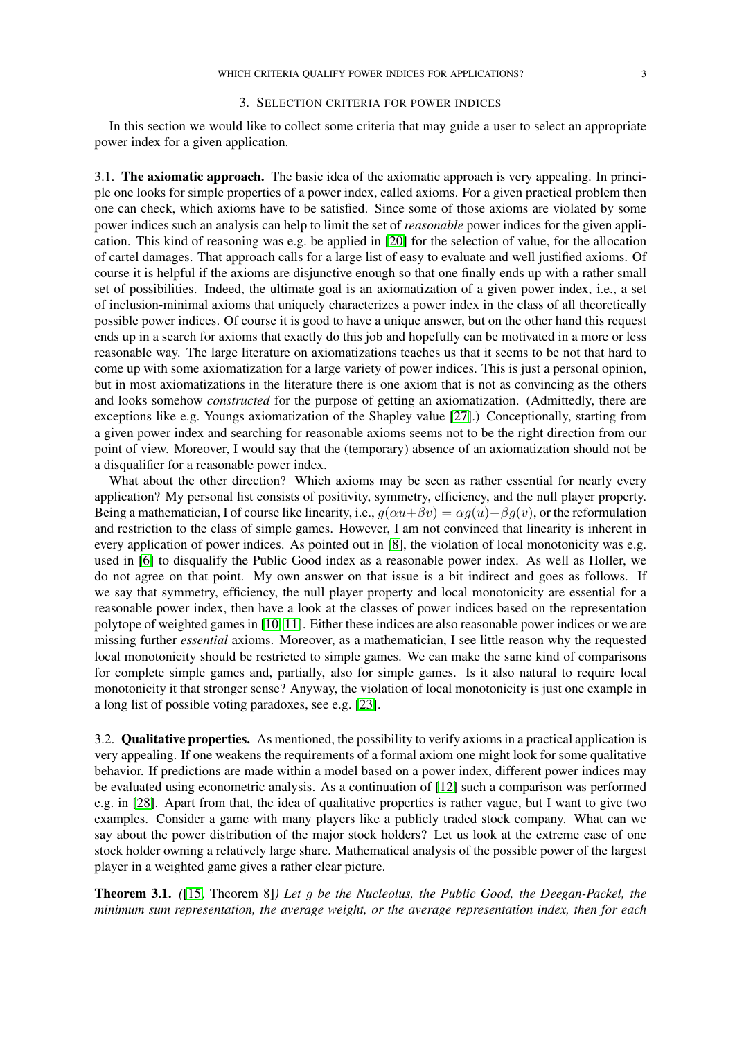#### 3. SELECTION CRITERIA FOR POWER INDICES

<span id="page-2-0"></span>In this section we would like to collect some criteria that may guide a user to select an appropriate power index for a given application.

3.1. The axiomatic approach. The basic idea of the axiomatic approach is very appealing. In principle one looks for simple properties of a power index, called axioms. For a given practical problem then one can check, which axioms have to be satisfied. Since some of those axioms are violated by some power indices such an analysis can help to limit the set of *reasonable* power indices for the given application. This kind of reasoning was e.g. be applied in [\[20\]](#page-5-10) for the selection of value, for the allocation of cartel damages. That approach calls for a large list of easy to evaluate and well justified axioms. Of course it is helpful if the axioms are disjunctive enough so that one finally ends up with a rather small set of possibilities. Indeed, the ultimate goal is an axiomatization of a given power index, i.e., a set of inclusion-minimal axioms that uniquely characterizes a power index in the class of all theoretically possible power indices. Of course it is good to have a unique answer, but on the other hand this request ends up in a search for axioms that exactly do this job and hopefully can be motivated in a more or less reasonable way. The large literature on axiomatizations teaches us that it seems to be not that hard to come up with some axiomatization for a large variety of power indices. This is just a personal opinion, but in most axiomatizations in the literature there is one axiom that is not as convincing as the others and looks somehow *constructed* for the purpose of getting an axiomatization. (Admittedly, there are exceptions like e.g. Youngs axiomatization of the Shapley value [\[27\]](#page-5-11).) Conceptionally, starting from a given power index and searching for reasonable axioms seems not to be the right direction from our point of view. Moreover, I would say that the (temporary) absence of an axiomatization should not be a disqualifier for a reasonable power index.

What about the other direction? Which axioms may be seen as rather essential for nearly every application? My personal list consists of positivity, symmetry, efficiency, and the null player property. Being a mathematician, I of course like linearity, i.e.,  $q(\alpha u + \beta v) = \alpha q(u) + \beta q(v)$ , or the reformulation and restriction to the class of simple games. However, I am not convinced that linearity is inherent in every application of power indices. As pointed out in [\[8\]](#page-5-5), the violation of local monotonicity was e.g. used in [\[6\]](#page-5-12) to disqualify the Public Good index as a reasonable power index. As well as Holler, we do not agree on that point. My own answer on that issue is a bit indirect and goes as follows. If we say that symmetry, efficiency, the null player property and local monotonicity are essential for a reasonable power index, then have a look at the classes of power indices based on the representation polytope of weighted games in [\[10,](#page-5-9) [11\]](#page-5-0). Either these indices are also reasonable power indices or we are missing further *essential* axioms. Moreover, as a mathematician, I see little reason why the requested local monotonicity should be restricted to simple games. We can make the same kind of comparisons for complete simple games and, partially, also for simple games. Is it also natural to require local monotonicity it that stronger sense? Anyway, the violation of local monotonicity is just one example in a long list of possible voting paradoxes, see e.g. [\[23\]](#page-5-13).

3.2. Qualitative properties. As mentioned, the possibility to verify axioms in a practical application is very appealing. If one weakens the requirements of a formal axiom one might look for some qualitative behavior. If predictions are made within a model based on a power index, different power indices may be evaluated using econometric analysis. As a continuation of [\[12\]](#page-5-14) such a comparison was performed e.g. in [\[28\]](#page-5-15). Apart from that, the idea of qualitative properties is rather vague, but I want to give two examples. Consider a game with many players like a publicly traded stock company. What can we say about the power distribution of the major stock holders? Let us look at the extreme case of one stock holder owning a relatively large share. Mathematical analysis of the possible power of the largest player in a weighted game gives a rather clear picture.

Theorem 3.1. *(*[\[15,](#page-5-16) Theorem 8]*) Let* g *be the Nucleolus, the Public Good, the Deegan-Packel, the minimum sum representation, the average weight, or the average representation index, then for each*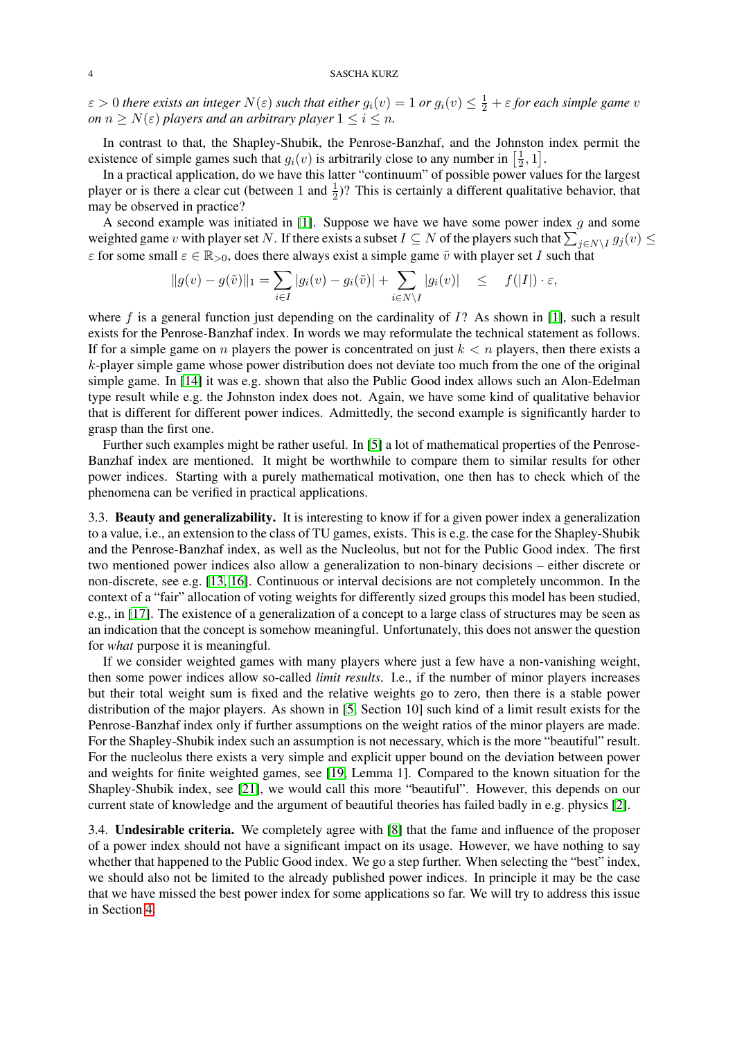$\varepsilon > 0$  there exists an integer  $N(\varepsilon)$  such that either  $g_i(v) = 1$  or  $g_i(v) \leq \frac{1}{2} + \varepsilon$  for each simple game  $v$ *on*  $n \geq N(\varepsilon)$  *players and an arbitrary player*  $1 \leq i \leq n$ *.* 

In contrast to that, the Shapley-Shubik, the Penrose-Banzhaf, and the Johnston index permit the existence of simple games such that  $g_i(v)$  is arbitrarily close to any number in  $\left[\frac{1}{2}\right]$  $\frac{1}{2}, 1].$ 

In a practical application, do we have this latter "continuum" of possible power values for the largest player or is there a clear cut (between 1 and  $\frac{1}{2}$ )? This is certainly a different qualitative behavior, that may be observed in practice?

A second example was initiated in [\[1\]](#page-5-17). Suppose we have we have some power index  $q$  and some weighted game v with player set N. If there exists a subset  $I \subseteq N$  of the players such that  $\sum_{j \in N \setminus I} g_j(v) \le$  $\varepsilon$  for some small  $\varepsilon \in \mathbb{R}_{>0}$ , does there always exist a simple game  $\tilde{v}$  with player set I such that

$$
||g(v) - g(\tilde{v})||_1 = \sum_{i \in I} |g_i(v) - g_i(\tilde{v})| + \sum_{i \in N \setminus I} |g_i(v)| \leq f(|I|) \cdot \varepsilon,
$$

where f is a general function just depending on the cardinality of  $I$ ? As shown in [\[1\]](#page-5-17), such a result exists for the Penrose-Banzhaf index. In words we may reformulate the technical statement as follows. If for a simple game on n players the power is concentrated on just  $k < n$  players, then there exists a  $k$ -player simple game whose power distribution does not deviate too much from the one of the original simple game. In [\[14\]](#page-5-8) it was e.g. shown that also the Public Good index allows such an Alon-Edelman type result while e.g. the Johnston index does not. Again, we have some kind of qualitative behavior that is different for different power indices. Admittedly, the second example is significantly harder to grasp than the first one.

Further such examples might be rather useful. In [\[5\]](#page-5-18) a lot of mathematical properties of the Penrose-Banzhaf index are mentioned. It might be worthwhile to compare them to similar results for other power indices. Starting with a purely mathematical motivation, one then has to check which of the phenomena can be verified in practical applications.

3.3. Beauty and generalizability. It is interesting to know if for a given power index a generalization to a value, i.e., an extension to the class of TU games, exists. This is e.g. the case for the Shapley-Shubik and the Penrose-Banzhaf index, as well as the Nucleolus, but not for the Public Good index. The first two mentioned power indices also allow a generalization to non-binary decisions – either discrete or non-discrete, see e.g. [\[13,](#page-5-19) [16\]](#page-5-20). Continuous or interval decisions are not completely uncommon. In the context of a "fair" allocation of voting weights for differently sized groups this model has been studied, e.g., in [\[17\]](#page-5-21). The existence of a generalization of a concept to a large class of structures may be seen as an indication that the concept is somehow meaningful. Unfortunately, this does not answer the question for *what* purpose it is meaningful.

If we consider weighted games with many players where just a few have a non-vanishing weight, then some power indices allow so-called *limit results*. I.e., if the number of minor players increases but their total weight sum is fixed and the relative weights go to zero, then there is a stable power distribution of the major players. As shown in [\[5,](#page-5-18) Section 10] such kind of a limit result exists for the Penrose-Banzhaf index only if further assumptions on the weight ratios of the minor players are made. For the Shapley-Shubik index such an assumption is not necessary, which is the more "beautiful" result. For the nucleolus there exists a very simple and explicit upper bound on the deviation between power and weights for finite weighted games, see [\[19,](#page-5-22) Lemma 1]. Compared to the known situation for the Shapley-Shubik index, see [\[21\]](#page-5-23), we would call this more "beautiful". However, this depends on our current state of knowledge and the argument of beautiful theories has failed badly in e.g. physics [\[2\]](#page-5-24).

3.4. Undesirable criteria. We completely agree with [\[8\]](#page-5-5) that the fame and influence of the proposer of a power index should not have a significant impact on its usage. However, we have nothing to say whether that happened to the Public Good index. We go a step further. When selecting the "best" index, we should also not be limited to the already published power indices. In principle it may be the case that we have missed the best power index for some applications so far. We will try to address this issue in Section [4.](#page-4-0)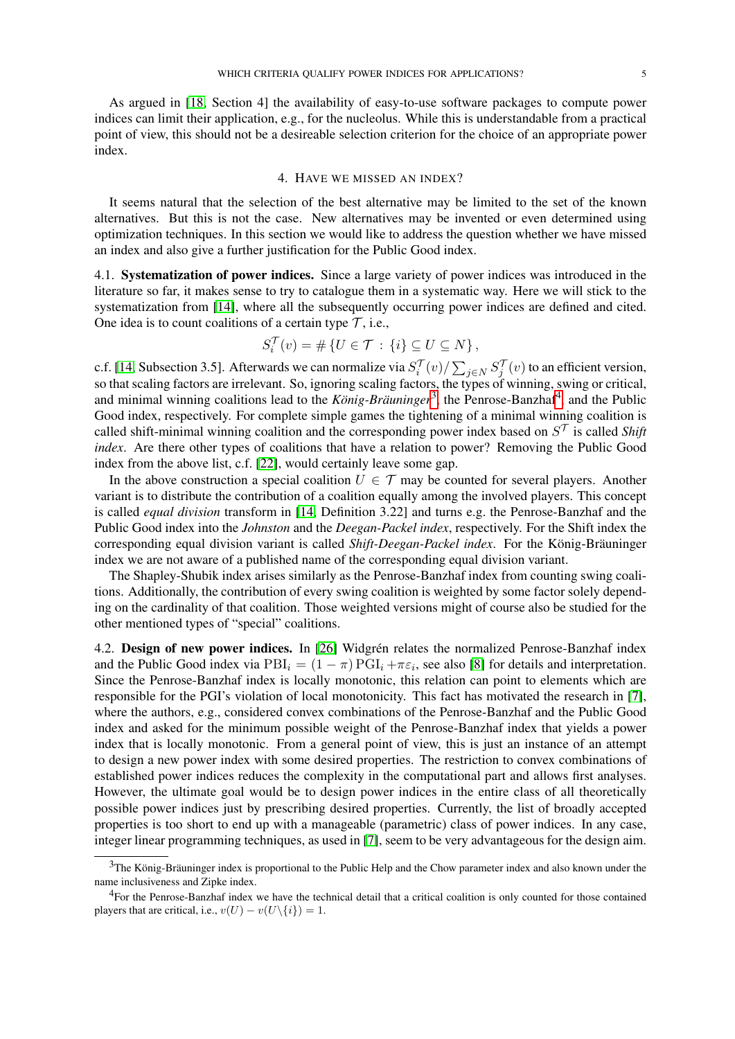As argued in [\[18,](#page-5-25) Section 4] the availability of easy-to-use software packages to compute power indices can limit their application, e.g., for the nucleolus. While this is understandable from a practical point of view, this should not be a desireable selection criterion for the choice of an appropriate power index.

#### 4. HAVE WE MISSED AN INDEX?

<span id="page-4-0"></span>It seems natural that the selection of the best alternative may be limited to the set of the known alternatives. But this is not the case. New alternatives may be invented or even determined using optimization techniques. In this section we would like to address the question whether we have missed an index and also give a further justification for the Public Good index.

4.1. Systematization of power indices. Since a large variety of power indices was introduced in the literature so far, it makes sense to try to catalogue them in a systematic way. Here we will stick to the systematization from [\[14\]](#page-5-8), where all the subsequently occurring power indices are defined and cited. One idea is to count coalitions of a certain type  $\mathcal{T}$ , i.e.,

$$
S_i^{\mathcal{T}}(v) = \# \left\{ U \in \mathcal{T} \, : \, \{i\} \subseteq U \subseteq N \right\},\
$$

c.f. [\[14,](#page-5-8) Subsection 3.5]. Afterwards we can normalize via  $S_i^{\mathcal{T}}(v) / \sum_{j \in N} S_j^{\mathcal{T}}(v)$  to an efficient version, so that scaling factors are irrelevant. So, ignoring scaling factors, the types of winning, swing or critical, and minimal winning coalitions lead to the *König-Bräuninger*<sup>[3](#page-4-1)</sup>, the Penrose-Banzhaf<sup>[4](#page-4-2)</sup>, and the Public Good index, respectively. For complete simple games the tightening of a minimal winning coalition is called shift-minimal winning coalition and the corresponding power index based on  $S^{\mathcal{T}}$  is called *Shift index*. Are there other types of coalitions that have a relation to power? Removing the Public Good index from the above list, c.f. [\[22\]](#page-5-26), would certainly leave some gap.

In the above construction a special coalition  $U \in \mathcal{T}$  may be counted for several players. Another variant is to distribute the contribution of a coalition equally among the involved players. This concept is called *equal division* transform in [\[14,](#page-5-8) Definition 3.22] and turns e.g. the Penrose-Banzhaf and the Public Good index into the *Johnston* and the *Deegan-Packel index*, respectively. For the Shift index the corresponding equal division variant is called *Shift-Deegan-Packel index*. For the König-Bräuninger index we are not aware of a published name of the corresponding equal division variant.

The Shapley-Shubik index arises similarly as the Penrose-Banzhaf index from counting swing coalitions. Additionally, the contribution of every swing coalition is weighted by some factor solely depending on the cardinality of that coalition. Those weighted versions might of course also be studied for the other mentioned types of "special" coalitions.

4.2. Design of new power indices. In [\[26\]](#page-5-27) Widgrén relates the normalized Penrose-Banzhaf index and the Public Good index via  $\text{PBI}_i = (1 - \pi) \text{PGI}_i + \pi \varepsilon_i$ , see also [\[8\]](#page-5-5) for details and interpretation. Since the Penrose-Banzhaf index is locally monotonic, this relation can point to elements which are responsible for the PGI's violation of local monotonicity. This fact has motivated the research in [\[7\]](#page-5-28), where the authors, e.g., considered convex combinations of the Penrose-Banzhaf and the Public Good index and asked for the minimum possible weight of the Penrose-Banzhaf index that yields a power index that is locally monotonic. From a general point of view, this is just an instance of an attempt to design a new power index with some desired properties. The restriction to convex combinations of established power indices reduces the complexity in the computational part and allows first analyses. However, the ultimate goal would be to design power indices in the entire class of all theoretically possible power indices just by prescribing desired properties. Currently, the list of broadly accepted properties is too short to end up with a manageable (parametric) class of power indices. In any case, integer linear programming techniques, as used in [\[7\]](#page-5-28), seem to be very advantageous for the design aim.

<span id="page-4-1"></span> $<sup>3</sup>$ The König-Bräuninger index is proportional to the Public Help and the Chow parameter index and also known under the</sup> name inclusiveness and Zipke index.

<span id="page-4-2"></span><sup>&</sup>lt;sup>4</sup>For the Penrose-Banzhaf index we have the technical detail that a critical coalition is only counted for those contained players that are critical, i.e.,  $v(U) - v(U \setminus \{i\}) = 1$ .